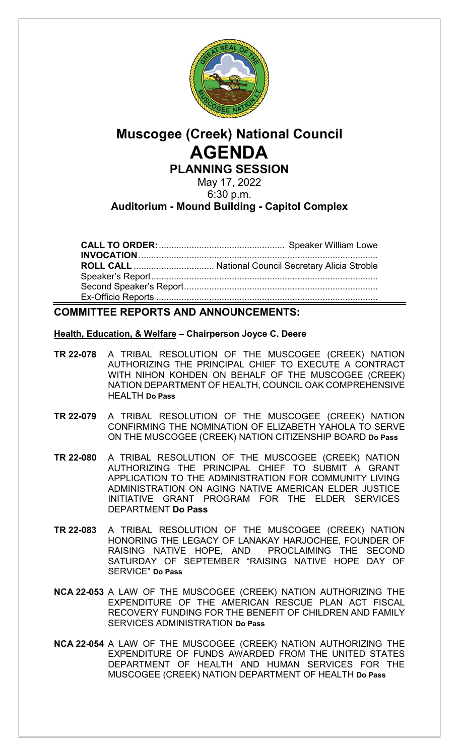

# **Muscogee (Creek) National Council AGENDA PLANNING SESSION**

May 17, 2022 6:30 p.m.

# **Auditorium - Mound Building - Capitol Complex**

**CALL TO ORDER:**.................................................. Speaker William Lowe **INVOCATION**............................................................................................... **ROLL CALL** ................................ National Council Secretary Alicia Stroble Speaker's Report.......................................................................................... Second Speaker's Report............................................................................. Ex-Officio Reports ........................................................................................

# **COMMITTEE REPORTS AND ANNOUNCEMENTS:**

## **Health, Education, & Welfare – Chairperson Joyce C. Deere**

- **TR 22-078** A TRIBAL RESOLUTION OF THE MUSCOGEE (CREEK) NATION AUTHORIZING THE PRINCIPAL CHIEF TO EXECUTE A CONTRACT WITH NIHON KOHDEN ON BEHALF OF THE MUSCOGEE (CREEK) NATION DEPARTMENT OF HEALTH, COUNCIL OAK COMPREHENSIVE HEALTH **Do Pass**
- **TR 22-079** A TRIBAL RESOLUTION OF THE MUSCOGEE (CREEK) NATION CONFIRMING THE NOMINATION OF ELIZABETH YAHOLA TO SERVE ON THE MUSCOGEE (CREEK) NATION CITIZENSHIP BOARD **Do Pass**
- **TR 22-080** A TRIBAL RESOLUTION OF THE MUSCOGEE (CREEK) NATION AUTHORIZING THE PRINCIPAL CHIEF TO SUBMIT A GRANT APPLICATION TO THE ADMINISTRATION FOR COMMUNITY LIVING ADMINISTRATION ON AGING NATIVE AMERICAN ELDER JUSTICE INITIATIVE GRANT PROGRAM FOR THE ELDER SERVICES DEPARTMENT **Do Pass**
- **TR 22-083** A TRIBAL RESOLUTION OF THE MUSCOGEE (CREEK) NATION HONORING THE LEGACY OF LANAKAY HARJOCHEE, FOUNDER OF RAISING NATIVE HOPE, AND PROCLAIMING THE SECOND SATURDAY OF SEPTEMBER "RAISING NATIVE HOPE DAY OF SERVICE" **Do Pass**
- **NCA 22-053** A LAW OF THE MUSCOGEE (CREEK) NATION AUTHORIZING THE EXPENDITURE OF THE AMERICAN RESCUE PLAN ACT FISCAL RECOVERY FUNDING FOR THE BENEFIT OF CHILDREN AND FAMILY SERVICES ADMINISTRATION **Do Pass**
- **NCA 22-054** A LAW OF THE MUSCOGEE (CREEK) NATION AUTHORIZING THE EXPENDITURE OF FUNDS AWARDED FROM THE UNITED STATES DEPARTMENT OF HEALTH AND HUMAN SERVICES FOR THE MUSCOGEE (CREEK) NATION DEPARTMENT OF HEALTH **Do Pass**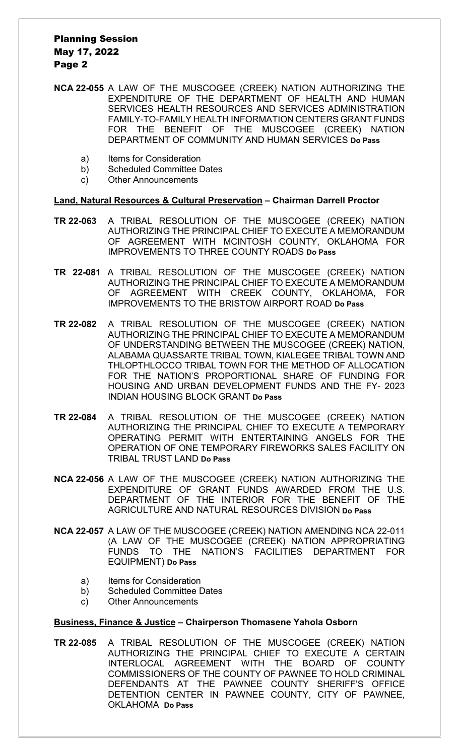# Planning Session May 17, 2022 Page 2

- **NCA 22-055** A LAW OF THE MUSCOGEE (CREEK) NATION AUTHORIZING THE EXPENDITURE OF THE DEPARTMENT OF HEALTH AND HUMAN SERVICES HEALTH RESOURCES AND SERVICES ADMINISTRATION FAMILY-TO-FAMILY HEALTH INFORMATION CENTERS GRANT FUNDS FOR THE BENEFIT OF THE MUSCOGEE (CREEK) NATION DEPARTMENT OF COMMUNITY AND HUMAN SERVICES **Do Pass**
	- a) Items for Consideration
	- b) Scheduled Committee Dates
	- c) Other Announcements

#### **Land, Natural Resources & Cultural Preservation – Chairman Darrell Proctor**

- **TR 22-063** A TRIBAL RESOLUTION OF THE MUSCOGEE (CREEK) NATION AUTHORIZING THE PRINCIPAL CHIEF TO EXECUTE A MEMORANDUM OF AGREEMENT WITH MCINTOSH COUNTY, OKLAHOMA FOR IMPROVEMENTS TO THREE COUNTY ROADS **Do Pass**
- **TR 22-081** A TRIBAL RESOLUTION OF THE MUSCOGEE (CREEK) NATION AUTHORIZING THE PRINCIPAL CHIEF TO EXECUTE A MEMORANDUM OF AGREEMENT WITH CREEK COUNTY, OKLAHOMA, FOR IMPROVEMENTS TO THE BRISTOW AIRPORT ROAD **Do Pass**
- **TR 22-082** A TRIBAL RESOLUTION OF THE MUSCOGEE (CREEK) NATION AUTHORIZING THE PRINCIPAL CHIEF TO EXECUTE A MEMORANDUM OF UNDERSTANDING BETWEEN THE MUSCOGEE (CREEK) NATION, ALABAMA QUASSARTE TRIBAL TOWN, KIALEGEE TRIBAL TOWN AND THLOPTHLOCCO TRIBAL TOWN FOR THE METHOD OF ALLOCATION FOR THE NATION'S PROPORTIONAL SHARE OF FUNDING FOR HOUSING AND URBAN DEVELOPMENT FUNDS AND THE FY- 2023 INDIAN HOUSING BLOCK GRANT **Do Pass**
- **TR 22-084** A TRIBAL RESOLUTION OF THE MUSCOGEE (CREEK) NATION AUTHORIZING THE PRINCIPAL CHIEF TO EXECUTE A TEMPORARY OPERATING PERMIT WITH ENTERTAINING ANGELS FOR THE OPERATION OF ONE TEMPORARY FIREWORKS SALES FACILITY ON TRIBAL TRUST LAND **Do Pass**
- **NCA 22-056** A LAW OF THE MUSCOGEE (CREEK) NATION AUTHORIZING THE EXPENDITURE OF GRANT FUNDS AWARDED FROM THE U.S. DEPARTMENT OF THE INTERIOR FOR THE BENEFIT OF THE AGRICULTURE AND NATURAL RESOURCES DIVISION **Do Pass**
- **NCA 22-057** A LAW OF THE MUSCOGEE (CREEK) NATION AMENDING NCA 22-011 (A LAW OF THE MUSCOGEE (CREEK) NATION APPROPRIATING FUNDS TO THE NATION'S FACILITIES DEPARTMENT FOR EQUIPMENT) **Do Pass**
	- a) Items for Consideration
	- b) Scheduled Committee Dates
	- c) Other Announcements

#### **Business, Finance & Justice – Chairperson Thomasene Yahola Osborn**

**TR 22-085** A TRIBAL RESOLUTION OF THE MUSCOGEE (CREEK) NATION AUTHORIZING THE PRINCIPAL CHIEF TO EXECUTE A CERTAIN INTERLOCAL AGREEMENT WITH THE BOARD OF COUNTY COMMISSIONERS OF THE COUNTY OF PAWNEE TO HOLD CRIMINAL DEFENDANTS AT THE PAWNEE COUNTY SHERIFF'S OFFICE DETENTION CENTER IN PAWNEE COUNTY, CITY OF PAWNEE, OKLAHOMA **Do Pass**